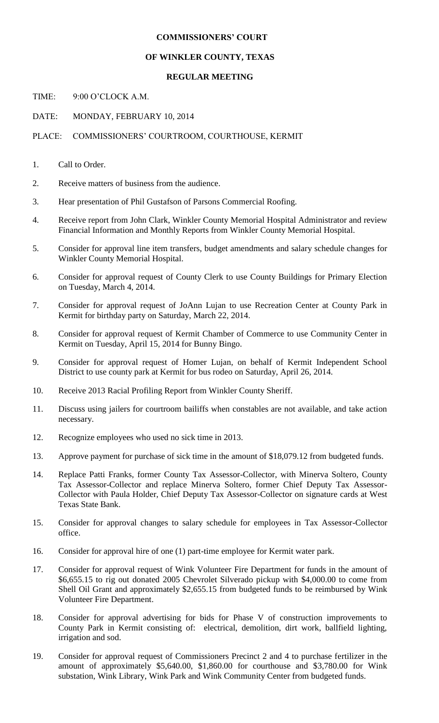## **COMMISSIONERS' COURT**

## **OF WINKLER COUNTY, TEXAS**

## **REGULAR MEETING**

TIME: 9:00 O'CLOCK A.M.

DATE: MONDAY, FEBRUARY 10, 2014

PLACE: COMMISSIONERS' COURTROOM, COURTHOUSE, KERMIT

- 1. Call to Order.
- 2. Receive matters of business from the audience.
- 3. Hear presentation of Phil Gustafson of Parsons Commercial Roofing.
- 4. Receive report from John Clark, Winkler County Memorial Hospital Administrator and review Financial Information and Monthly Reports from Winkler County Memorial Hospital.
- 5. Consider for approval line item transfers, budget amendments and salary schedule changes for Winkler County Memorial Hospital.
- 6. Consider for approval request of County Clerk to use County Buildings for Primary Election on Tuesday, March 4, 2014.
- 7. Consider for approval request of JoAnn Lujan to use Recreation Center at County Park in Kermit for birthday party on Saturday, March 22, 2014.
- 8. Consider for approval request of Kermit Chamber of Commerce to use Community Center in Kermit on Tuesday, April 15, 2014 for Bunny Bingo.
- 9. Consider for approval request of Homer Lujan, on behalf of Kermit Independent School District to use county park at Kermit for bus rodeo on Saturday, April 26, 2014.
- 10. Receive 2013 Racial Profiling Report from Winkler County Sheriff.
- 11. Discuss using jailers for courtroom bailiffs when constables are not available, and take action necessary.
- 12. Recognize employees who used no sick time in 2013.
- 13. Approve payment for purchase of sick time in the amount of \$18,079.12 from budgeted funds.
- 14. Replace Patti Franks, former County Tax Assessor-Collector, with Minerva Soltero, County Tax Assessor-Collector and replace Minerva Soltero, former Chief Deputy Tax Assessor-Collector with Paula Holder, Chief Deputy Tax Assessor-Collector on signature cards at West Texas State Bank.
- 15. Consider for approval changes to salary schedule for employees in Tax Assessor-Collector office.
- 16. Consider for approval hire of one (1) part-time employee for Kermit water park.
- 17. Consider for approval request of Wink Volunteer Fire Department for funds in the amount of \$6,655.15 to rig out donated 2005 Chevrolet Silverado pickup with \$4,000.00 to come from Shell Oil Grant and approximately \$2,655.15 from budgeted funds to be reimbursed by Wink Volunteer Fire Department.
- 18. Consider for approval advertising for bids for Phase V of construction improvements to County Park in Kermit consisting of: electrical, demolition, dirt work, ballfield lighting, irrigation and sod.
- 19. Consider for approval request of Commissioners Precinct 2 and 4 to purchase fertilizer in the amount of approximately \$5,640.00, \$1,860.00 for courthouse and \$3,780.00 for Wink substation, Wink Library, Wink Park and Wink Community Center from budgeted funds.